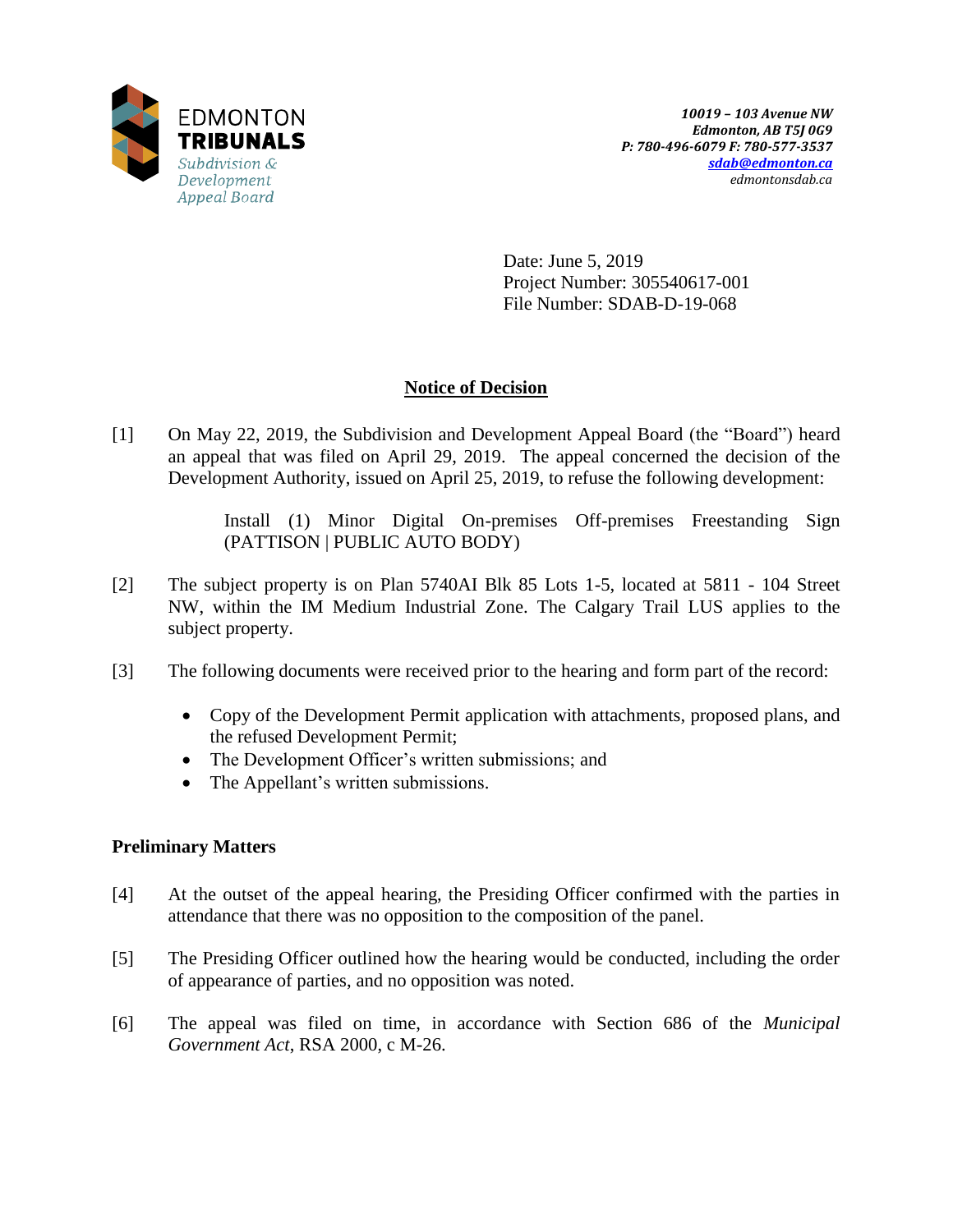

Date: June 5, 2019 Project Number: 305540617-001 File Number: SDAB-D-19-068

## **Notice of Decision**

[1] On May 22, 2019, the Subdivision and Development Appeal Board (the "Board") heard an appeal that was filed on April 29, 2019. The appeal concerned the decision of the Development Authority, issued on April 25, 2019, to refuse the following development:

> Install (1) Minor Digital On-premises Off-premises Freestanding Sign (PATTISON | PUBLIC AUTO BODY)

- [2] The subject property is on Plan 5740AI Blk 85 Lots 1-5, located at 5811 104 Street NW, within the IM Medium Industrial Zone. The Calgary Trail LUS applies to the subject property.
- [3] The following documents were received prior to the hearing and form part of the record:
	- Copy of the Development Permit application with attachments, proposed plans, and the refused Development Permit;
	- The Development Officer's written submissions; and
	- The Appellant's written submissions.

### **Preliminary Matters**

- [4] At the outset of the appeal hearing, the Presiding Officer confirmed with the parties in attendance that there was no opposition to the composition of the panel.
- [5] The Presiding Officer outlined how the hearing would be conducted, including the order of appearance of parties, and no opposition was noted.
- [6] The appeal was filed on time, in accordance with Section 686 of the *Municipal Government Act*, RSA 2000, c M-26.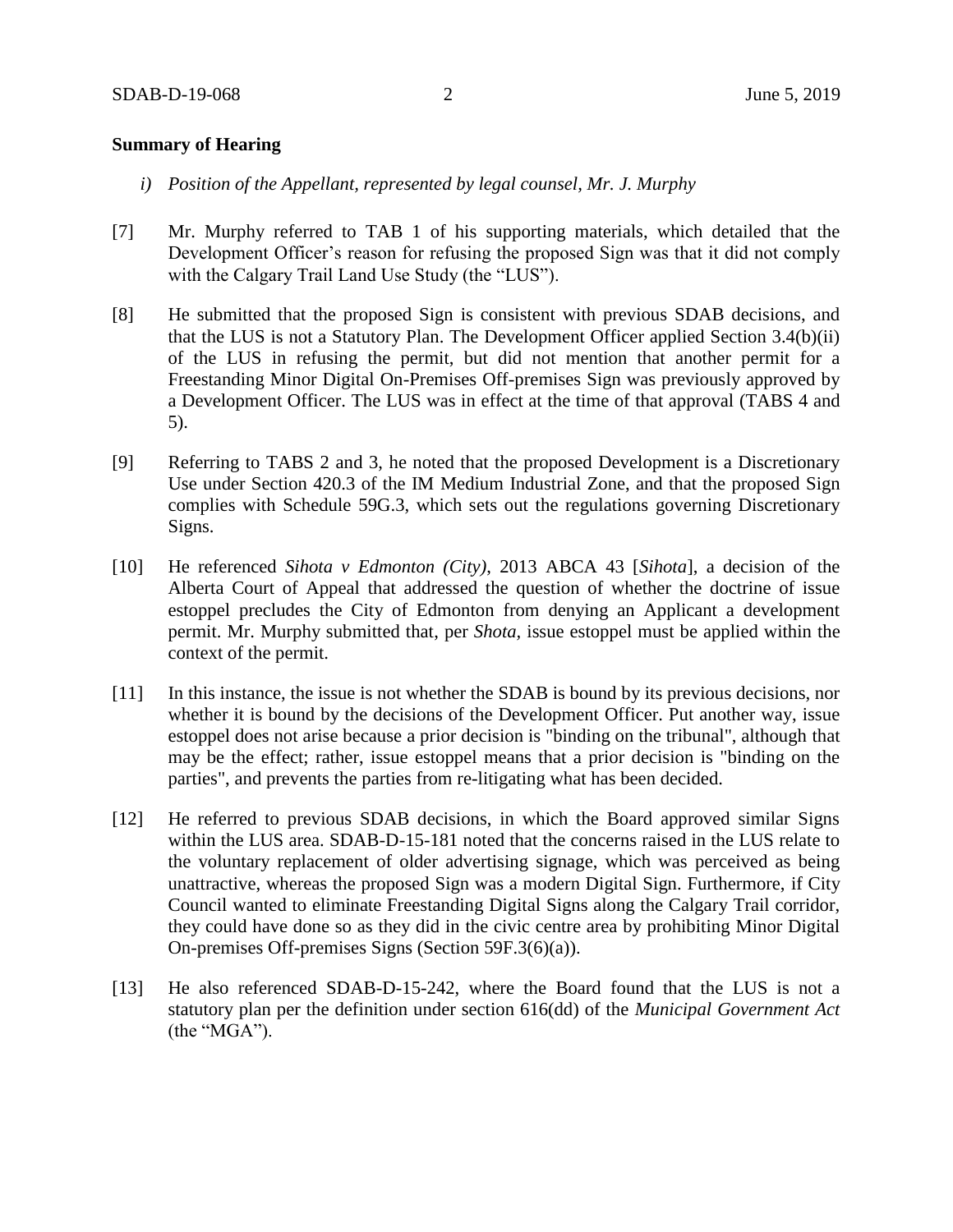#### **Summary of Hearing**

- *i) Position of the Appellant, represented by legal counsel, Mr. J. Murphy*
- [7] Mr. Murphy referred to TAB 1 of his supporting materials, which detailed that the Development Officer's reason for refusing the proposed Sign was that it did not comply with the Calgary Trail Land Use Study (the "LUS").
- [8] He submitted that the proposed Sign is consistent with previous SDAB decisions, and that the LUS is not a Statutory Plan. The Development Officer applied Section 3.4(b)(ii) of the LUS in refusing the permit, but did not mention that another permit for a Freestanding Minor Digital On-Premises Off-premises Sign was previously approved by a Development Officer. The LUS was in effect at the time of that approval (TABS 4 and 5).
- [9] Referring to TABS 2 and 3, he noted that the proposed Development is a Discretionary Use under Section 420.3 of the IM Medium Industrial Zone, and that the proposed Sign complies with Schedule 59G.3, which sets out the regulations governing Discretionary Signs.
- [10] He referenced *Sihota v Edmonton (City)*, 2013 ABCA 43 [*Sihota*], a decision of the Alberta Court of Appeal that addressed the question of whether the doctrine of issue estoppel precludes the City of Edmonton from denying an Applicant a development permit. Mr. Murphy submitted that, per *Shota,* issue estoppel must be applied within the context of the permit.
- [11] In this instance, the issue is not whether the SDAB is bound by its previous decisions, nor whether it is bound by the decisions of the Development Officer. Put another way, issue estoppel does not arise because a prior decision is "binding on the tribunal", although that may be the effect; rather, issue estoppel means that a prior decision is "binding on the parties", and prevents the parties from re-litigating what has been decided.
- [12] He referred to previous SDAB decisions, in which the Board approved similar Signs within the LUS area. SDAB-D-15-181 noted that the concerns raised in the LUS relate to the voluntary replacement of older advertising signage, which was perceived as being unattractive, whereas the proposed Sign was a modern Digital Sign. Furthermore, if City Council wanted to eliminate Freestanding Digital Signs along the Calgary Trail corridor, they could have done so as they did in the civic centre area by prohibiting Minor Digital On-premises Off-premises Signs (Section 59F.3(6)(a)).
- [13] He also referenced SDAB-D-15-242, where the Board found that the LUS is not a statutory plan per the definition under section 616(dd) of the *Municipal Government Act* (the "MGA").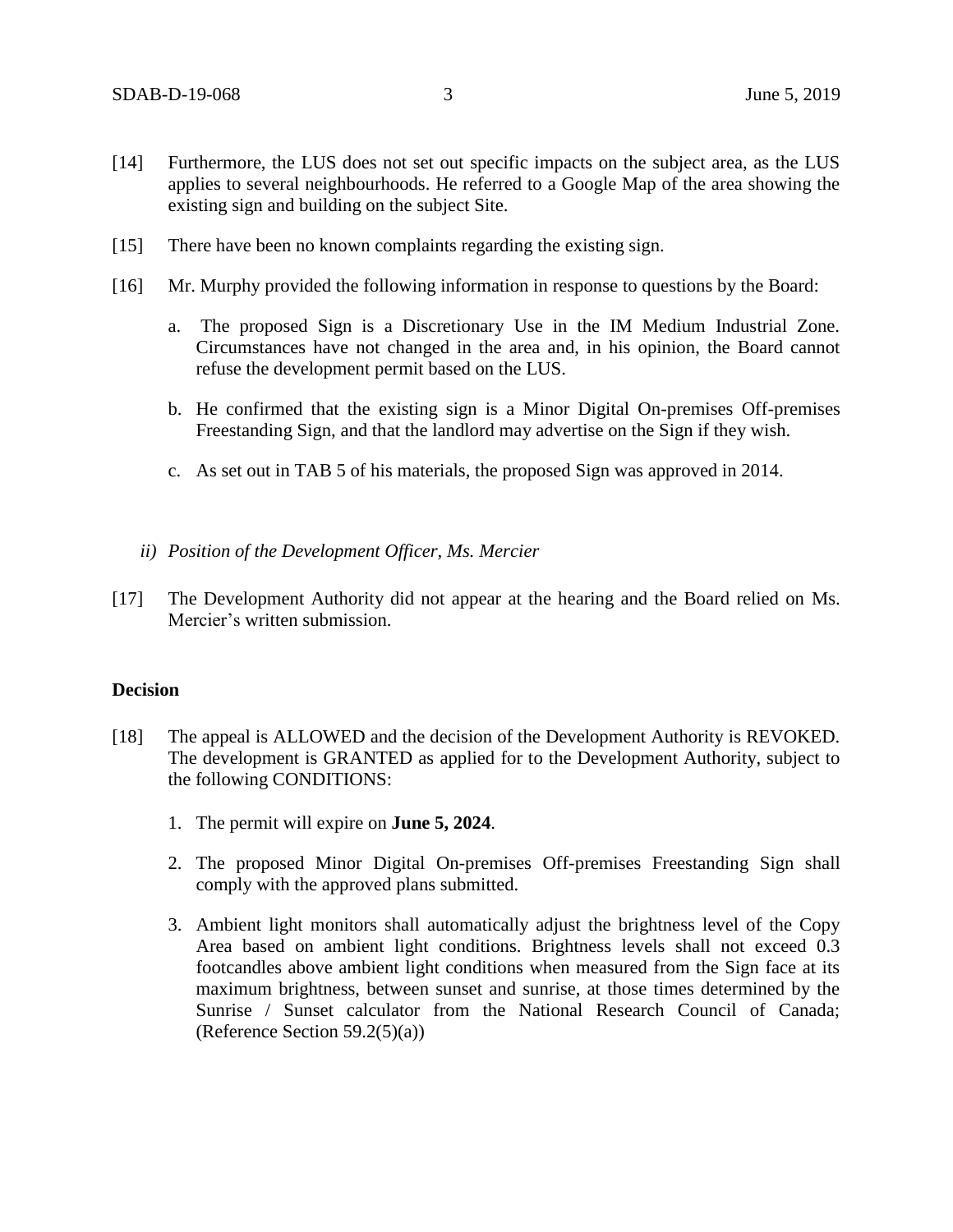- [14] Furthermore, the LUS does not set out specific impacts on the subject area, as the LUS applies to several neighbourhoods. He referred to a Google Map of the area showing the existing sign and building on the subject Site.
- [15] There have been no known complaints regarding the existing sign.
- [16] Mr. Murphy provided the following information in response to questions by the Board:
	- a. The proposed Sign is a Discretionary Use in the IM Medium Industrial Zone. Circumstances have not changed in the area and, in his opinion, the Board cannot refuse the development permit based on the LUS.
	- b. He confirmed that the existing sign is a Minor Digital On-premises Off-premises Freestanding Sign, and that the landlord may advertise on the Sign if they wish.
	- c. As set out in TAB 5 of his materials, the proposed Sign was approved in 2014.
	- *ii) Position of the Development Officer, Ms. Mercier*
- [17] The Development Authority did not appear at the hearing and the Board relied on Ms. Mercier's written submission.

### **Decision**

- [18] The appeal is ALLOWED and the decision of the Development Authority is REVOKED. The development is GRANTED as applied for to the Development Authority, subject to the following CONDITIONS:
	- 1. The permit will expire on **June 5, 2024**.
	- 2. The proposed Minor Digital On-premises Off-premises Freestanding Sign shall comply with the approved plans submitted.
	- 3. Ambient light monitors shall automatically adjust the brightness level of the Copy Area based on ambient light conditions. Brightness levels shall not exceed 0.3 footcandles above ambient light conditions when measured from the Sign face at its maximum brightness, between sunset and sunrise, at those times determined by the Sunrise / Sunset calculator from the National Research Council of Canada; (Reference Section  $59.2(5)(a)$ )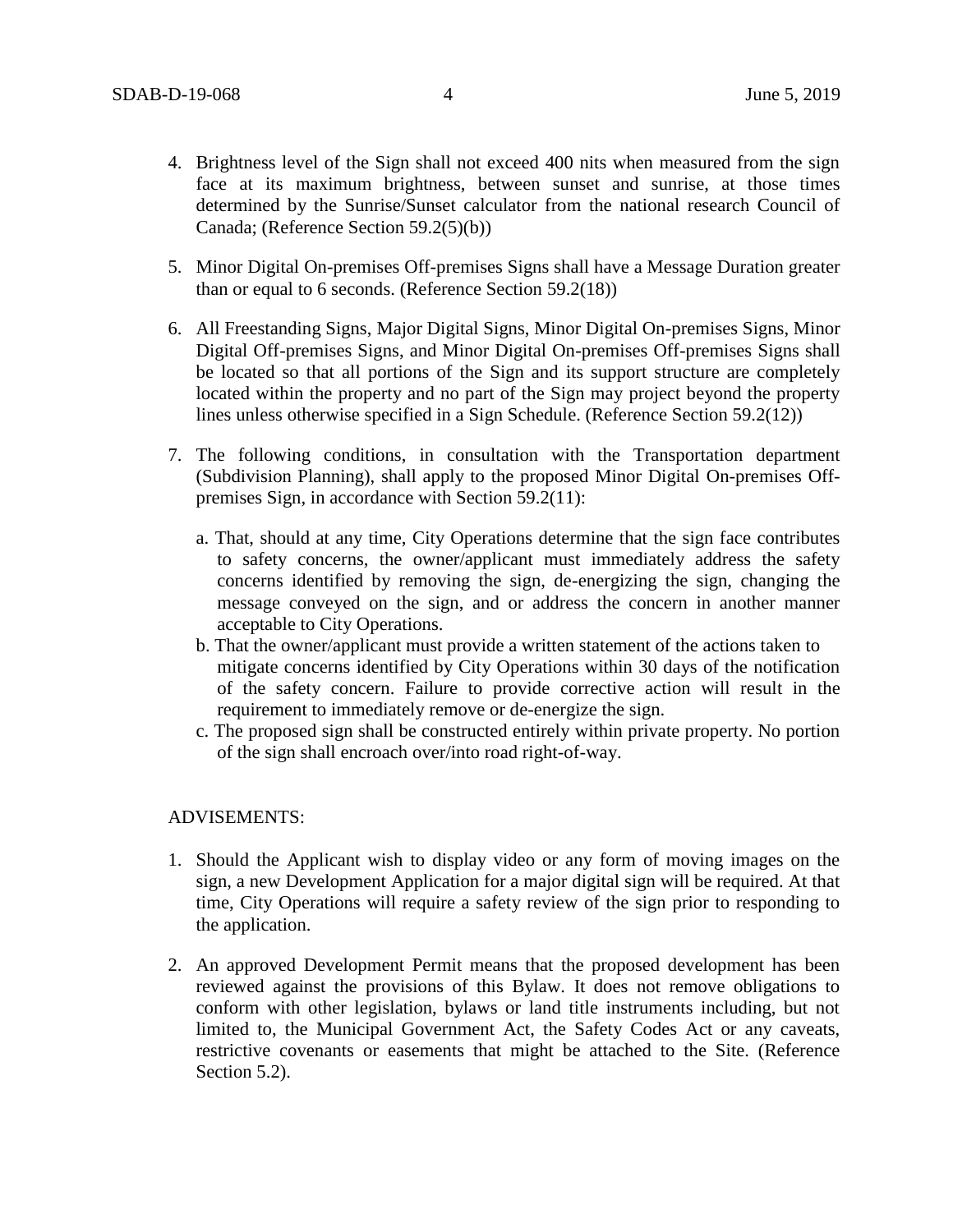- 4. Brightness level of the Sign shall not exceed 400 nits when measured from the sign face at its maximum brightness, between sunset and sunrise, at those times determined by the Sunrise/Sunset calculator from the national research Council of Canada; (Reference Section 59.2(5)(b))
- 5. Minor Digital On-premises Off-premises Signs shall have a Message Duration greater than or equal to 6 seconds. (Reference Section 59.2(18))
- 6. All Freestanding Signs, Major Digital Signs, Minor Digital On-premises Signs, Minor Digital Off-premises Signs, and Minor Digital On-premises Off-premises Signs shall be located so that all portions of the Sign and its support structure are completely located within the property and no part of the Sign may project beyond the property lines unless otherwise specified in a Sign Schedule. (Reference Section 59.2(12))
- 7. The following conditions, in consultation with the Transportation department (Subdivision Planning), shall apply to the proposed Minor Digital On-premises Offpremises Sign, in accordance with Section 59.2(11):
	- a. That, should at any time, City Operations determine that the sign face contributes to safety concerns, the owner/applicant must immediately address the safety concerns identified by removing the sign, de-energizing the sign, changing the message conveyed on the sign, and or address the concern in another manner acceptable to City Operations.
	- b. That the owner/applicant must provide a written statement of the actions taken to mitigate concerns identified by City Operations within 30 days of the notification of the safety concern. Failure to provide corrective action will result in the requirement to immediately remove or de-energize the sign.
	- c. The proposed sign shall be constructed entirely within private property. No portion of the sign shall encroach over/into road right-of-way.

#### ADVISEMENTS:

- 1. Should the Applicant wish to display video or any form of moving images on the sign, a new Development Application for a major digital sign will be required. At that time, City Operations will require a safety review of the sign prior to responding to the application.
- 2. An approved Development Permit means that the proposed development has been reviewed against the provisions of this Bylaw. It does not remove obligations to conform with other legislation, bylaws or land title instruments including, but not limited to, the Municipal Government Act, the Safety Codes Act or any caveats, restrictive covenants or easements that might be attached to the Site. (Reference Section 5.2).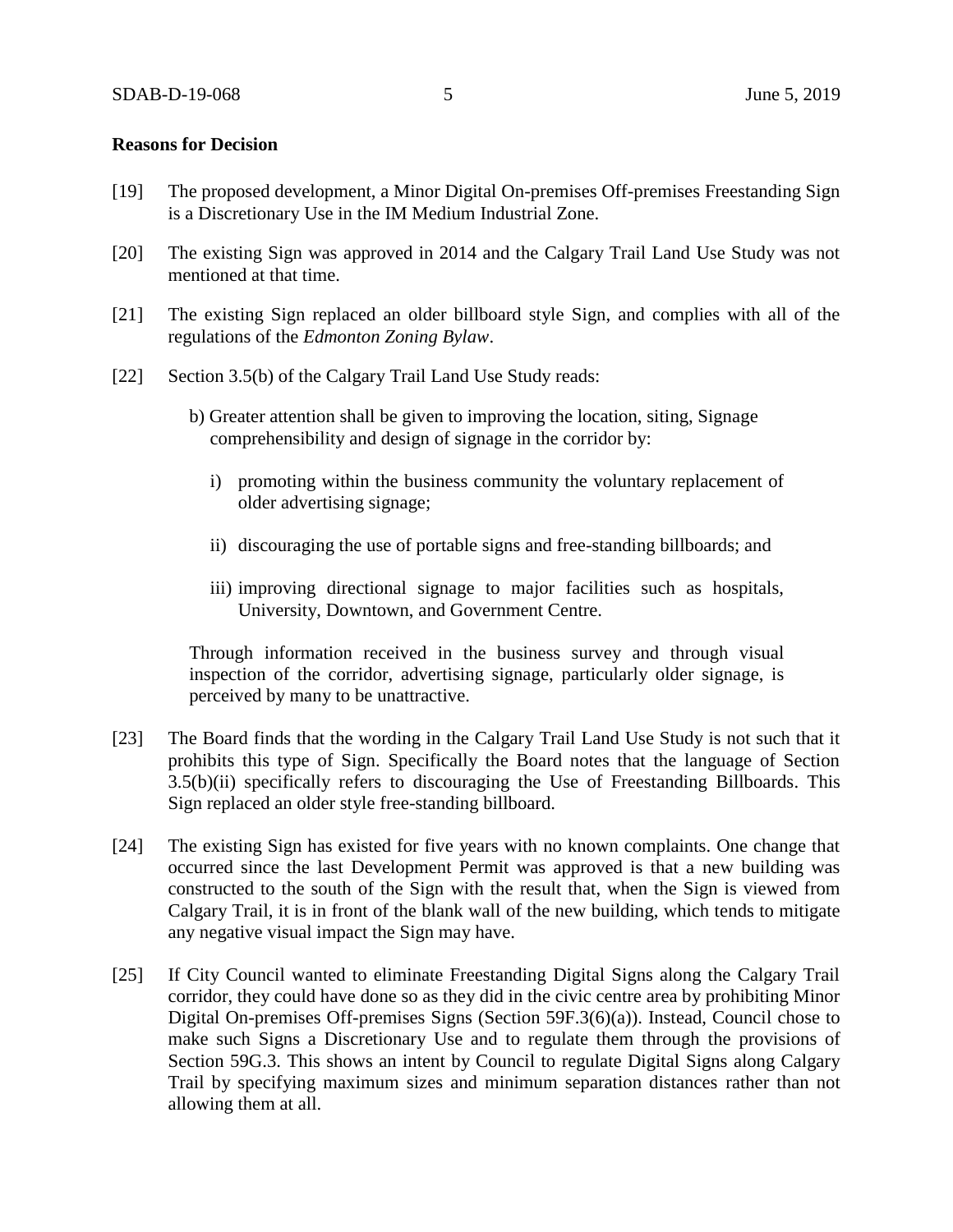#### **Reasons for Decision**

- [19] The proposed development, a Minor Digital On-premises Off-premises Freestanding Sign is a Discretionary Use in the IM Medium Industrial Zone.
- [20] The existing Sign was approved in 2014 and the Calgary Trail Land Use Study was not mentioned at that time.
- [21] The existing Sign replaced an older billboard style Sign, and complies with all of the regulations of the *Edmonton Zoning Bylaw*.
- [22] Section 3.5(b) of the Calgary Trail Land Use Study reads:
	- b) Greater attention shall be given to improving the location, siting, Signage comprehensibility and design of signage in the corridor by:
		- i) promoting within the business community the voluntary replacement of older advertising signage;
		- ii) discouraging the use of portable signs and free-standing billboards; and
		- iii) improving directional signage to major facilities such as hospitals, University, Downtown, and Government Centre.

Through information received in the business survey and through visual inspection of the corridor, advertising signage, particularly older signage, is perceived by many to be unattractive.

- [23] The Board finds that the wording in the Calgary Trail Land Use Study is not such that it prohibits this type of Sign. Specifically the Board notes that the language of Section 3.5(b)(ii) specifically refers to discouraging the Use of Freestanding Billboards. This Sign replaced an older style free-standing billboard.
- [24] The existing Sign has existed for five years with no known complaints. One change that occurred since the last Development Permit was approved is that a new building was constructed to the south of the Sign with the result that, when the Sign is viewed from Calgary Trail, it is in front of the blank wall of the new building, which tends to mitigate any negative visual impact the Sign may have.
- [25] If City Council wanted to eliminate Freestanding Digital Signs along the Calgary Trail corridor, they could have done so as they did in the civic centre area by prohibiting Minor Digital On-premises Off-premises Signs (Section 59F.3(6)(a)). Instead, Council chose to make such Signs a Discretionary Use and to regulate them through the provisions of Section 59G.3. This shows an intent by Council to regulate Digital Signs along Calgary Trail by specifying maximum sizes and minimum separation distances rather than not allowing them at all.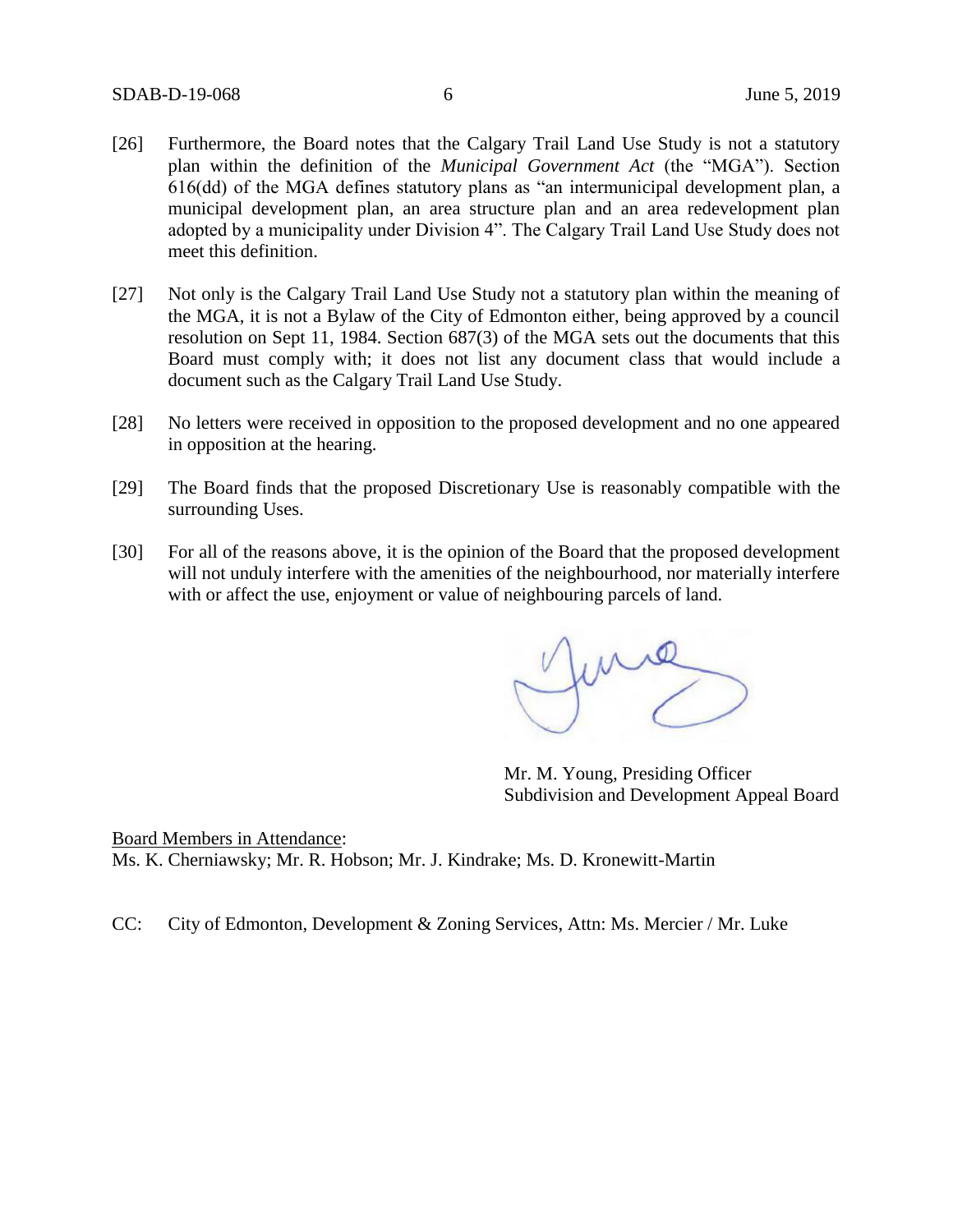- [26] Furthermore, the Board notes that the Calgary Trail Land Use Study is not a statutory plan within the definition of the *Municipal Government Act* (the "MGA"). Section 616(dd) of the MGA defines statutory plans as "an intermunicipal development plan, a municipal development plan, an area structure plan and an area redevelopment plan adopted by a municipality under Division 4". The Calgary Trail Land Use Study does not meet this definition.
- [27] Not only is the Calgary Trail Land Use Study not a statutory plan within the meaning of the MGA, it is not a Bylaw of the City of Edmonton either, being approved by a council resolution on Sept 11, 1984. Section 687(3) of the MGA sets out the documents that this Board must comply with; it does not list any document class that would include a document such as the Calgary Trail Land Use Study.
- [28] No letters were received in opposition to the proposed development and no one appeared in opposition at the hearing.
- [29] The Board finds that the proposed Discretionary Use is reasonably compatible with the surrounding Uses.
- [30] For all of the reasons above, it is the opinion of the Board that the proposed development will not unduly interfere with the amenities of the neighbourhood, nor materially interfere with or affect the use, enjoyment or value of neighbouring parcels of land.

June

Mr. M. Young, Presiding Officer Subdivision and Development Appeal Board

Board Members in Attendance: Ms. K. Cherniawsky; Mr. R. Hobson; Mr. J. Kindrake; Ms. D. Kronewitt-Martin

CC: City of Edmonton, Development & Zoning Services, Attn: Ms. Mercier / Mr. Luke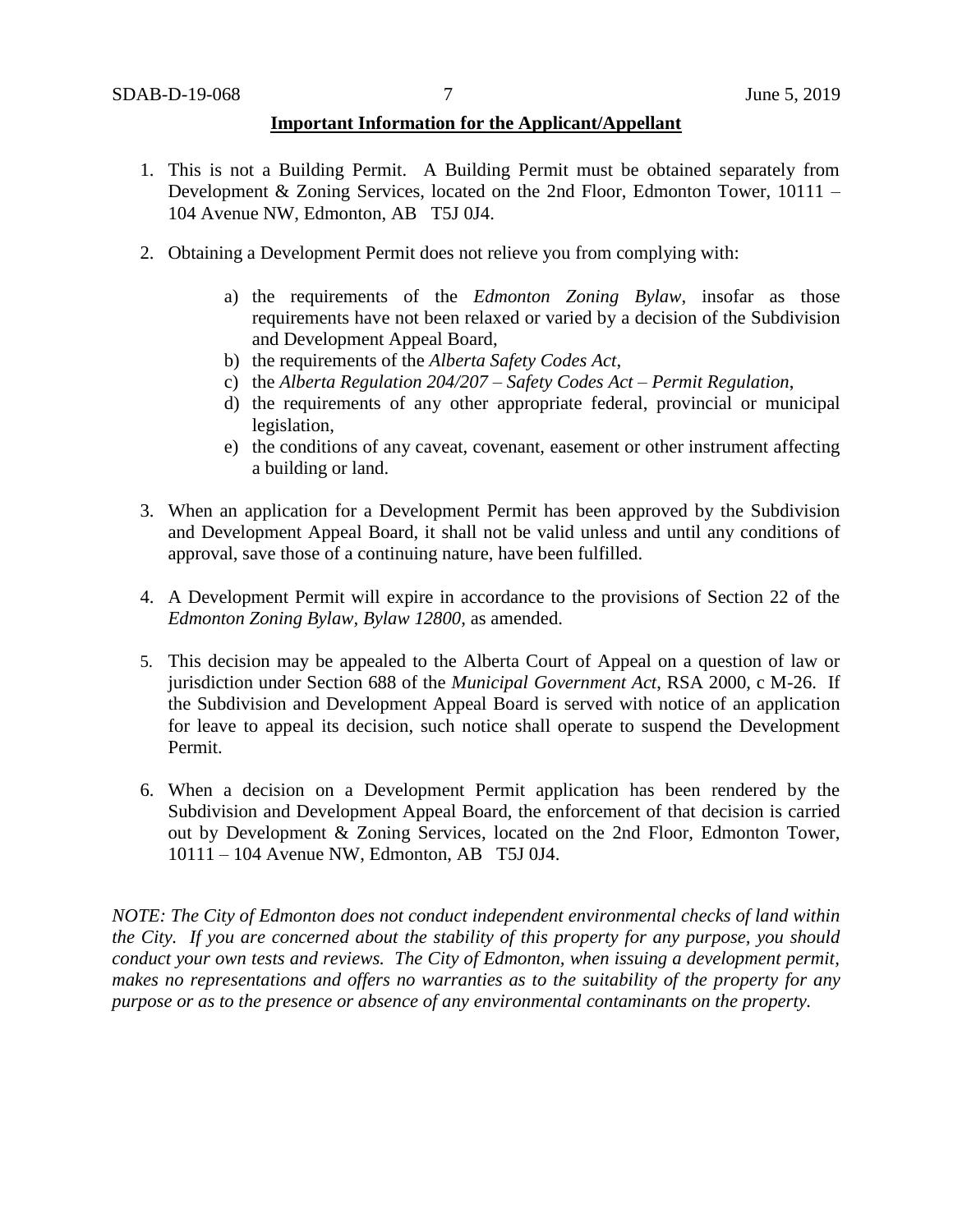#### **Important Information for the Applicant/Appellant**

- 1. This is not a Building Permit. A Building Permit must be obtained separately from Development & Zoning Services, located on the 2nd Floor, Edmonton Tower, 10111 – 104 Avenue NW, Edmonton, AB T5J 0J4.
- 2. Obtaining a Development Permit does not relieve you from complying with:
	- a) the requirements of the *Edmonton Zoning Bylaw*, insofar as those requirements have not been relaxed or varied by a decision of the Subdivision and Development Appeal Board,
	- b) the requirements of the *Alberta Safety Codes Act*,
	- c) the *Alberta Regulation 204/207 – Safety Codes Act – Permit Regulation*,
	- d) the requirements of any other appropriate federal, provincial or municipal legislation,
	- e) the conditions of any caveat, covenant, easement or other instrument affecting a building or land.
- 3. When an application for a Development Permit has been approved by the Subdivision and Development Appeal Board, it shall not be valid unless and until any conditions of approval, save those of a continuing nature, have been fulfilled.
- 4. A Development Permit will expire in accordance to the provisions of Section 22 of the *Edmonton Zoning Bylaw, Bylaw 12800*, as amended.
- 5. This decision may be appealed to the Alberta Court of Appeal on a question of law or jurisdiction under Section 688 of the *Municipal Government Act*, RSA 2000, c M-26. If the Subdivision and Development Appeal Board is served with notice of an application for leave to appeal its decision, such notice shall operate to suspend the Development Permit.
- 6. When a decision on a Development Permit application has been rendered by the Subdivision and Development Appeal Board, the enforcement of that decision is carried out by Development & Zoning Services, located on the 2nd Floor, Edmonton Tower, 10111 – 104 Avenue NW, Edmonton, AB T5J 0J4.

*NOTE: The City of Edmonton does not conduct independent environmental checks of land within the City. If you are concerned about the stability of this property for any purpose, you should conduct your own tests and reviews. The City of Edmonton, when issuing a development permit, makes no representations and offers no warranties as to the suitability of the property for any purpose or as to the presence or absence of any environmental contaminants on the property.*